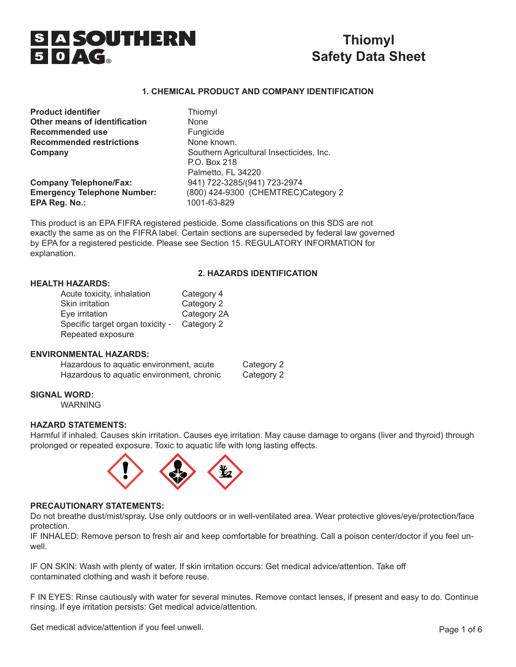

# **Thiomyl Safety Data Sheet**

### **1. CHEMICAL PRODUCT AND COMPANY IDENTIFICATION**

| <b>Product identifier</b>          | Thiomyl                                                  |
|------------------------------------|----------------------------------------------------------|
| Other means of identification      | <b>None</b>                                              |
| <b>Recommended use</b>             | Fungicide                                                |
| <b>Recommended restrictions</b>    | None known.                                              |
| Company                            | Southern Agricultural Insecticides, Inc.<br>P.O. Box 218 |
|                                    | Palmetto, FL 34220                                       |
| <b>Company Telephone/Fax:</b>      | 941) 722-3285/(941) 723-2974                             |
| <b>Emergency Telephone Number:</b> | (800) 424-9300 (CHEMTREC)Category 2                      |
| EPA Reg. No.:                      | 1001-63-829                                              |
|                                    |                                                          |

This product is an EPA FIFRA registered pesticide. Some classifications on this SDS are not exactly the same as on the FIFRA label. Certain sections are superseded by federal law governed by EPA for a registered pesticide. Please see Section 15. REGULATORY INFORMATION for explanation.

### **2. HAZARDS IDENTIFICATION**

### **HEALTH HAZARDS:**

| Acute toxicity, inhalation       | Category 4  |
|----------------------------------|-------------|
| Skin irritation                  | Category 2  |
| Eye irritation                   | Category 2A |
| Specific target organ toxicity - | Category 2  |
| Repeated exposure                |             |

#### **ENVIRONMENTAL HAZARDS:**

| Hazardous to aquatic environment, acute   | Category 2 |
|-------------------------------------------|------------|
| Hazardous to aquatic environment, chronic | Category 2 |

#### **SIGNAL WORD:**

WARNING

#### **HAZARD STATEMENTS:**

Harmful if inhaled. Causes skin irritation. Causes eye irritation. May cause damage to organs (liver and thyroid) through prolonged or repeated exposure. Toxic to aquatic life with long lasting effects.



#### **PRECAUTIONARY STATEMENTS:**

Do not breathe dust/mist/spray. Use only outdoors or in well-ventilated area. Wear protective gloves/eye/protection/face protection.

IF INHALED: Remove person to fresh air and keep comfortable for breathing. Call a poison center/doctor if you feel unwell.

IF ON SKIN: Wash with plenty of water. If skin irritation occurs: Get medical advice/attention. Take off contaminated clothing and wash it before reuse.

F IN EYES: Rinse cautiously with water for several minutes. Remove contact lenses, if present and easy to do. Continue rinsing. If eye irritation persists: Get medical advice/attention.

Get medical advice/attention if you feel unwell.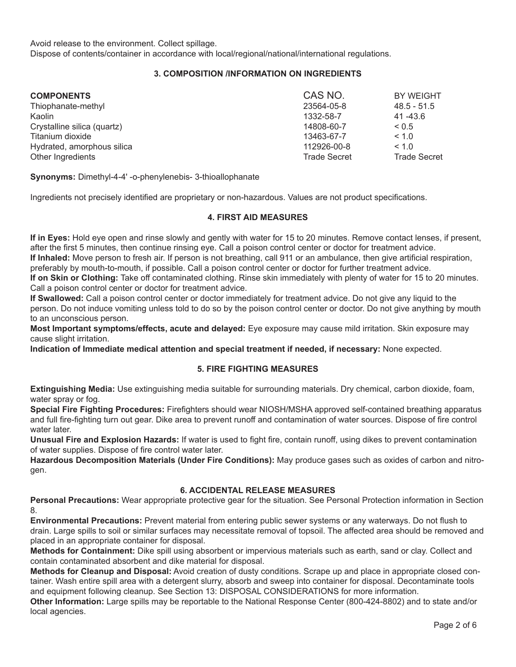Avoid release to the environment. Collect spillage.

Dispose of contents/container in accordance with local/regional/national/international regulations.

## **3. COMPOSITION /INFORMATION ON INGREDIENTS**

| <b>COMPONENTS</b>           | CAS NO.             | BY WEIGHT           |
|-----------------------------|---------------------|---------------------|
| Thiophanate-methyl          | 23564-05-8          | $48.5 - 51.5$       |
| Kaolin                      | 1332-58-7           | $41 - 43.6$         |
| Crystalline silica (quartz) | 14808-60-7          | ${}_{0.5}$          |
| Titanium dioxide            | 13463-67-7          | < 1.0               |
| Hydrated, amorphous silica  | 112926-00-8         | < 1.0               |
| Other Ingredients           | <b>Trade Secret</b> | <b>Trade Secret</b> |

**Synonyms:** Dimethyl-4-4' -o-phenylenebis- 3-thioallophanate

Ingredients not precisely identified are proprietary or non-hazardous. Values are not product specifications.

## **4. FIRST AID MEASURES**

**If in Eyes:** Hold eye open and rinse slowly and gently with water for 15 to 20 minutes. Remove contact lenses, if present, after the first 5 minutes, then continue rinsing eye. Call a poison control center or doctor for treatment advice. **If Inhaled:** Move person to fresh air. If person is not breathing, call 911 or an ambulance, then give artificial respiration, preferably by mouth-to-mouth, if possible. Call a poison control center or doctor for further treatment advice. **If on Skin or Clothing:** Take off contaminated clothing. Rinse skin immediately with plenty of water for 15 to 20 minutes. Call a poison control center or doctor for treatment advice.

**If Swallowed:** Call a poison control center or doctor immediately for treatment advice. Do not give any liquid to the person. Do not induce vomiting unless told to do so by the poison control center or doctor. Do not give anything by mouth to an unconscious person.

**Most Important symptoms/effects, acute and delayed:** Eye exposure may cause mild irritation. Skin exposure may cause slight irritation.

**Indication of Immediate medical attention and special treatment if needed, if necessary:** None expected.

#### **5. FIRE FIGHTING MEASURES**

**Extinguishing Media:** Use extinguishing media suitable for surrounding materials. Dry chemical, carbon dioxide, foam, water spray or fog.

**Special Fire Fighting Procedures:** Firefighters should wear NIOSH/MSHA approved self-contained breathing apparatus and full fire-fighting turn out gear. Dike area to prevent runoff and contamination of water sources. Dispose of fire control water later.

**Unusual Fire and Explosion Hazards:** If water is used to fight fire, contain runoff, using dikes to prevent contamination of water supplies. Dispose of fire control water later.

**Hazardous Decomposition Materials (Under Fire Conditions):** May produce gases such as oxides of carbon and nitrogen.

#### **6. ACCIDENTAL RELEASE MEASURES**

**Personal Precautions:** Wear appropriate protective gear for the situation. See Personal Protection information in Section 8.

**Environmental Precautions:** Prevent material from entering public sewer systems or any waterways. Do not flush to drain. Large spills to soil or similar surfaces may necessitate removal of topsoil. The affected area should be removed and placed in an appropriate container for disposal.

**Methods for Containment:** Dike spill using absorbent or impervious materials such as earth, sand or clay. Collect and contain contaminated absorbent and dike material for disposal.

**Methods for Cleanup and Disposal:** Avoid creation of dusty conditions. Scrape up and place in appropriate closed container. Wash entire spill area with a detergent slurry, absorb and sweep into container for disposal. Decontaminate tools and equipment following cleanup. See Section 13: DISPOSAL CONSIDERATIONS for more information.

**Other Information:** Large spills may be reportable to the National Response Center (800-424-8802) and to state and/or local agencies.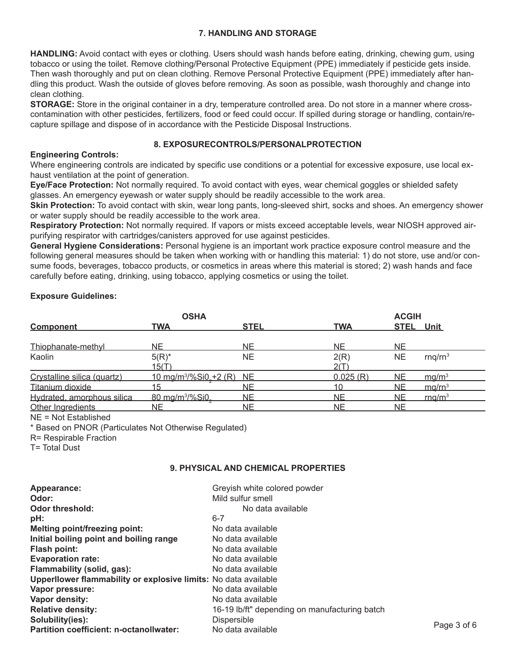## **7. HANDLING AND STORAGE**

**HANDLING:** Avoid contact with eyes or clothing. Users should wash hands before eating, drinking, chewing gum, using tobacco or using the toilet. Remove clothing/Personal Protective Equipment (PPE) immediately if pesticide gets inside. Then wash thoroughly and put on clean clothing. Remove Personal Protective Equipment (PPE) immediately after handling this product. Wash the outside of gloves before removing. As soon as possible, wash thoroughly and change into clean clothing.

**STORAGE:** Store in the original container in a dry, temperature controlled area. Do not store in a manner where crosscontamination with other pesticides, fertilizers, food or feed could occur. If spilled during storage or handling, contain/recapture spillage and dispose of in accordance with the Pesticide Disposal Instructions.

### **8. EXPOSURECONTROLS/PERSONALPROTECTION**

### **Engineering Controls:**

Where engineering controls are indicated by specific use conditions or a potential for excessive exposure, use local exhaust ventilation at the point of generation.

**Eye/Face Protection:** Not normally required. To avoid contact with eyes, wear chemical goggles or shielded safety glasses. An emergency eyewash or water supply should be readily accessible to the work area.

**Skin Protection:** To avoid contact with skin, wear long pants, long-sleeved shirt, socks and shoes. An emergency shower or water supply should be readily accessible to the work area.

**Respiratory Protection:** Not normally required. If vapors or mists exceed acceptable levels, wear NIOSH approved airpurifying respirator with cartridges/canisters approved for use against pesticides.

**General Hygiene Considerations:** Personal hygiene is an important work practice exposure control measure and the following general measures should be taken when working with or handling this material: 1) do not store, use and/or consume foods, beverages, tobacco products, or cosmetics in areas where this material is stored; 2) wash hands and face carefully before eating, drinking, using tobacco, applying cosmetics or using the toilet.

## **Exposure Guidelines:**

|                             | <b>OSHA</b>                                       |             |            | <b>ACGIH</b>     |                     |
|-----------------------------|---------------------------------------------------|-------------|------------|------------------|---------------------|
| <b>Component</b>            | <b>TWA</b>                                        | <b>STEL</b> | <b>TWA</b> | <b>STEL Unit</b> |                     |
| Thiophanate-methyl          | NE.                                               | <b>NE</b>   | <b>NE</b>  | <b>NE</b>        |                     |
| Kaolin                      | $5(R)^*$                                          | <b>NE</b>   | 2(R)       | <b>NE</b>        | rnq/rn <sup>3</sup> |
|                             | <u>15(T)</u>                                      |             | 2(T)       |                  |                     |
| Crystalline silica (quartz) | 10 mg/m <sup>3</sup> /%Si0 <sub>s</sub> +2 (R) NE |             | 0.025(R)   | <b>NE</b>        | ma/m <sup>3</sup>   |
| Titanium dioxide            | 15                                                | NΕ          |            | NE.              | mg/rn <sup>3</sup>  |
| Hydrated, amorphous silica  | 80 mg/m <sup>3</sup> /%Si0                        | NE.         | ΝE         | NE               | $rm \Omega/m^3$     |
| Other Ingredients           | NΕ                                                | NE.         | NΕ         | NE.              |                     |

NE = Not Established

\* Based on PNOR (Particulates Not Otherwise Regulated)

R= Respirable Fraction

T= Total Dust

### **9. PHYSICAL AND CHEMICAL PROPERTIES**

| Appearance:                                                     | Greyish white colored powder                  |             |
|-----------------------------------------------------------------|-----------------------------------------------|-------------|
| Odor:                                                           | Mild sulfur smell                             |             |
| Odor threshold:                                                 | No data available                             |             |
| pH:                                                             | $6 - 7$                                       |             |
| <b>Melting point/freezing point:</b>                            | No data available                             |             |
| Initial boiling point and boiling range                         | No data available                             |             |
| Flash point:                                                    | No data available                             |             |
| <b>Evaporation rate:</b>                                        | No data available                             |             |
| Flammability (solid, gas):                                      | No data available                             |             |
| Upperllower flammability or explosive limits: No data available |                                               |             |
| Vapor pressure:                                                 | No data available                             |             |
| Vapor density:                                                  | No data available                             |             |
| <b>Relative density:</b>                                        | 16-19 lb/ft" depending on manufacturing batch |             |
| Solubility(ies):                                                | <b>Dispersible</b>                            |             |
| <b>Partition coefficient: n-octanollwater:</b>                  | No data available                             | Page 3 of 6 |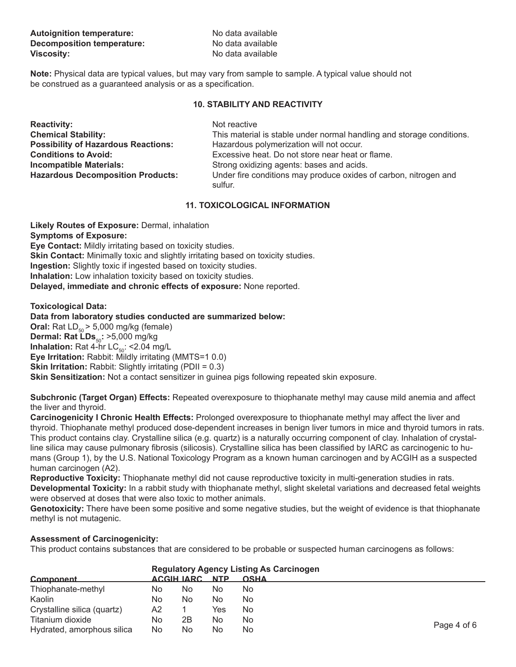| <b>Autoignition temperature:</b>  | No data available |
|-----------------------------------|-------------------|
| <b>Decomposition temperature:</b> | No data available |
| <b>Viscosity:</b>                 | No data available |

**Note:** Physical data are typical values, but may vary from sample to sample. A typical value should not be construed as a guaranteed analysis or as a specification.

### **10. STABILITY AND REACTIVITY**

| <b>Reactivity:</b>                         |
|--------------------------------------------|
| <b>Chemical Stability:</b>                 |
| <b>Possibility of Hazardous Reactions:</b> |
| <b>Conditions to Avoid:</b>                |
| <b>Incompatible Materials:</b>             |
| <b>Hazardous Decomposition Products:</b>   |

**Not reactive** This material is stable under normal handling and storage conditions. **Possibility of Hazardous Reactions:** Hazardous polymerization will not occur. Excessive heat. Do not store near heat or flame. **Strong oxidizing agents: bases and acids.** Under fire conditions may produce oxides of carbon, nitrogen and sulfur.

## **11. TOXICOLOGICAL INFORMATION**

**Likely Routes of Exposure:** Dermal, inhalation **Symptoms of Exposure: Eye Contact:** Mildly irritating based on toxicity studies. **Skin Contact:** Minimally toxic and slightly irritating based on toxicity studies. **Ingestion:** Slightly toxic if ingested based on toxicity studies. **Inhalation:** Low inhalation toxicity based on toxicity studies. **Delayed, immediate and chronic effects of exposure:** None reported.

**Toxicological Data:** 

**Data from laboratory studies conducted are summarized below: Oral:** Rat  $LD_{50}$  > 5,000 mg/kg (female) **Dermal: Rat LDs<sub>50</sub>: >5,000 mg/kg Inhalation:** Rat 4-hr  $LC_{50}$ : <2.04 mg/L **Eye Irritation:** Rabbit: Mildly irritating (MMTS=1 0.0) **Skin Irritation:** Rabbit: Slightly irritating (PDII = 0.3) **Skin Sensitization:** Not a contact sensitizer in guinea pigs following repeated skin exposure.

**Subchronic (Target Organ) Effects:** Repeated overexposure to thiophanate methyl may cause mild anemia and affect the liver and thyroid.

**Carcinogenicity I Chronic Health Effects:** Prolonged overexposure to thiophanate methyl may affect the liver and thyroid. Thiophanate methyl produced dose-dependent increases in benign liver tumors in mice and thyroid tumors in rats. This product contains clay. Crystalline silica (e.g. quartz) is a naturally occurring component of clay. Inhalation of crystalline silica may cause pulmonary fibrosis (silicosis). Crystalline silica has been classified by IARC as carcinogenic to humans (Group 1), by the U.S. National Toxicology Program as a known human carcinogen and by ACGIH as a suspected human carcinogen (A2).

**Reproductive Toxicity:** Thiophanate methyl did not cause reproductive toxicity in multi-generation studies in rats. **Developmental Toxicity:** In a rabbit study with thiophanate methyl, slight skeletal variations and decreased fetal weights were observed at doses that were also toxic to mother animals.

**Genotoxicity:** There have been some positive and some negative studies, but the weight of evidence is that thiophanate methyl is not mutagenic.

### **Assessment of Carcinogenicity:**

This product contains substances that are considered to be probable or suspected human carcinogens as follows:

|                             |    | <b>Regulatory Agency Listing As Carcinogen</b> |     |             |             |  |
|-----------------------------|----|------------------------------------------------|-----|-------------|-------------|--|
| Component                   |    | <b>ACGIH IARC NTP</b>                          |     | <b>OSHA</b> |             |  |
| Thiophanate-methyl          | No | No                                             | No  | No          |             |  |
| Kaolin                      | No | No                                             | No  | No          |             |  |
| Crystalline silica (quartz) | A2 |                                                | Yes | No          |             |  |
| Titanium dioxide            | No | 2Β                                             | No  | No          |             |  |
| Hydrated, amorphous silica  | No | No                                             | No  | No          | Page 4 of 6 |  |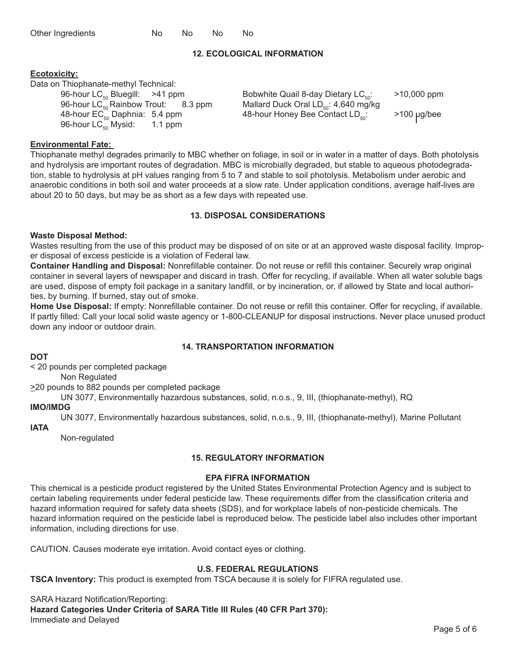| Other Ingredients | No. | No. | No. | No. |
|-------------------|-----|-----|-----|-----|
|-------------------|-----|-----|-----|-----|

# **12. ECOLOGICAL INFORMATION**

# **Ecotoxicity:**

Data on Thiophanate-methyl Technical:

48-hour  $EC_{50}^{\sim}$  Daphnia: 5.4 ppm 48-hour Honey Bee Contact  $LD_{50}$ : >100 µg/bee 96-hour LC<sub>50</sub> Mysid: 1.1 ppm 96-hour  $LC_{50}$  Mysid:

96-hour LC<sub>50</sub> Bluegill:  $>41$  ppm Bobwhite Quail 8-day Dietary LC<sub>50</sub>:  $>10,000$  ppm 96-hour LC<sub>50</sub> Rainbow Trout: 8.3 ppm Mallard Duck Oral LD<sub>50</sub>: 4,640 mg/kg Mallard Duck Oral LD $_{50}$ : 4,640 mg/kg<br>48-hour Honey Bee Contact LD $_{50}$ :

# **Environmental Fate:**

Thiophanate methyl degrades primarily to MBC whether on foliage, in soil or in water in a matter of days. Both photolysis and hydrolysis are important routes of degradation. MBC is microbially degraded, but stable to aqueous photodegradation, stable to hydrolysis at pH values ranging from 5 to 7 and stable to soil photolysis. Metabolism under aerobic and anaerobic conditions in both soil and water proceeds at a slow rate. Under application conditions, average half-lives are about 20 to 50 days, but may be as short as a few days with repeated use.

# **13. DISPOSAL CONSIDERATIONS**

# **Waste Disposal Method:**

Wastes resulting from the use of this product may be disposed of on site or at an approved waste disposal facility. Improper disposal of excess pesticide is a violation of Federal law.

**Container Handling and Disposal:** Nonrefillable container. Do not reuse or refill this container. Securely wrap original container in several layers of newspaper and discard in trash. Offer for recycling, if available. When all water soluble bags are used, dispose of empty foil package in a sanitary landfill, or by incineration, or, if allowed by State and local authorities, by burning. If burned, stay out of smoke.

**Home Use Disposal:** If empty: Nonrefillable container. Do not reuse or refill this container. Offer for recycling, if available. If partly filled: Call your local solid waste agency or 1-800-CLEANUP for disposal instructions. Never place unused product down any indoor or outdoor drain.

# **14. TRANSPORTATION INFORMATION**

# **DOT**

< 20 pounds per completed package

Non Regulated

>20 pounds to 882 pounds per completed package

UN 3077, Environmentally hazardous substances, solid, n.o.s., 9, III, (thiophanate-methyl), RQ

# **IMO/IMDG**

UN 3077, Environmentally hazardous substances, solid, n.o.s., 9, III, (thiophanate-methyl), Marine Pollutant

**lATA**

Non-regulated

# **15. REGULATORY INFORMATION**

# **EPA FIFRA INFORMATION**

This chemical is a pesticide product registered by the United States Environmental Protection Agency and is subject to certain labeling requirements under federal pesticide law. These requirements differ from the classification criteria and hazard information required for safety data sheets (SDS), and for workplace labels of non-pesticide chemicals. The hazard information required on the pesticide label is reproduced below. The pesticide label also includes other important information, including directions for use.

CAUTION. Causes moderate eye irritation. Avoid contact eyes or clothing.

# **U.S. FEDERAL REGULATIONS**

**TSCA Inventory:** This product is exempted from TSCA because it is solely for FIFRA regulated use.

SARA Hazard Notification/Reporting: **Hazard Categories Under Criteria of SARA Title III Rules (40 CFR Part 370):**  Immediate and Delayed